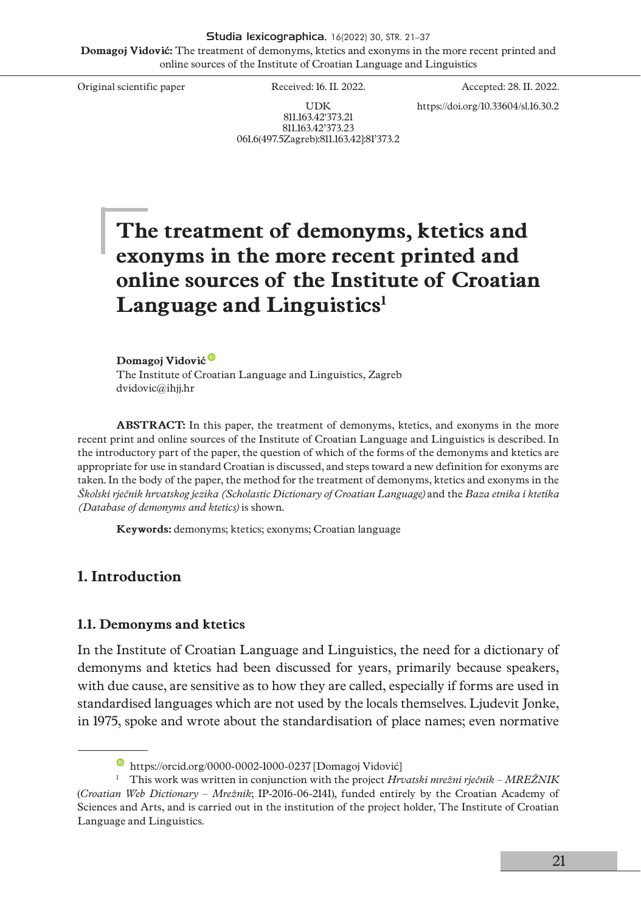Studia lexicographica, 16(2022) 30, STR. 21–37 **Domagoj Vidović:** The treatment of demonyms, ktetics and exonyms in the more recent printed and online sources of the Institute of Croatian Language and Linguistics

Original scientific paper Received: 16. II. 2022. Accepted: 28. II. 2022.

https://doi.org/10.33604/sl.16.30.2

UDK 811.163.42'373.21 811.163.42'373.23 061.6(497.5Zagreb):811.163.42]:81'373.2

# **The treatment of demonyms, ktetics and exonyms in the more recent printed and online sources of the Institute of Croatian**  Language and Linguistics<sup>1</sup>

**[Domagoj Vidović](https://orcid.org/0000-0002-1000-0237)** The Institute of Croatian Language and Linguistics, Zagreb [dvidovic@ihjj.hr](mailto:dvidovic@ihjj.hr)

**ABSTRACT:** In this paper, the treatment of demonyms, ktetics, and exonyms in the more recent print and online sources of the Institute of Croatian Language and Linguistics is described. In the introductory part of the paper, the question of which of the forms of the demonyms and ktetics are appropriate for use in standard Croatian is discussed, and steps toward a new definition for exonyms are taken. In the body of the paper, the method for the treatment of demonyms, ktetics and exonyms in the *Školski rječnik hrvatskog jezika (Scholastic Dictionary of Croatian Language)* and the *Baza etnika i ktetika (Database of demonyms and ktetics)* is shown.

**Keywords:** demonyms; ktetics; exonyms; Croatian language

## **1. Introduction**

### **1.1. Demonyms and ktetics**

In the Institute of Croatian Language and Linguistics, the need for a dictionary of demonyms and ktetics had been discussed for years, primarily because speakers, with due cause, are sensitive as to how they are called, especially if forms are used in standardised languages which are not used by the locals themselves. Ljudevit Jonke, in 1975, spoke and wrote about the standardisation of place names; even normative

<https://orcid.org/0000-0002-1000-0237> [Domagoj Vidović]

<sup>1</sup> This work was written in conjunction with the project *Hrvatski mrežni rječnik* – *MREŽNIK* (*Croatian Web Dictionary – Mrežnik*; IP-2016-06-2141), funded entirely by the Croatian Academy of Sciences and Arts, and is carried out in the institution of the project holder, The Institute of Croatian Language and Linguistics.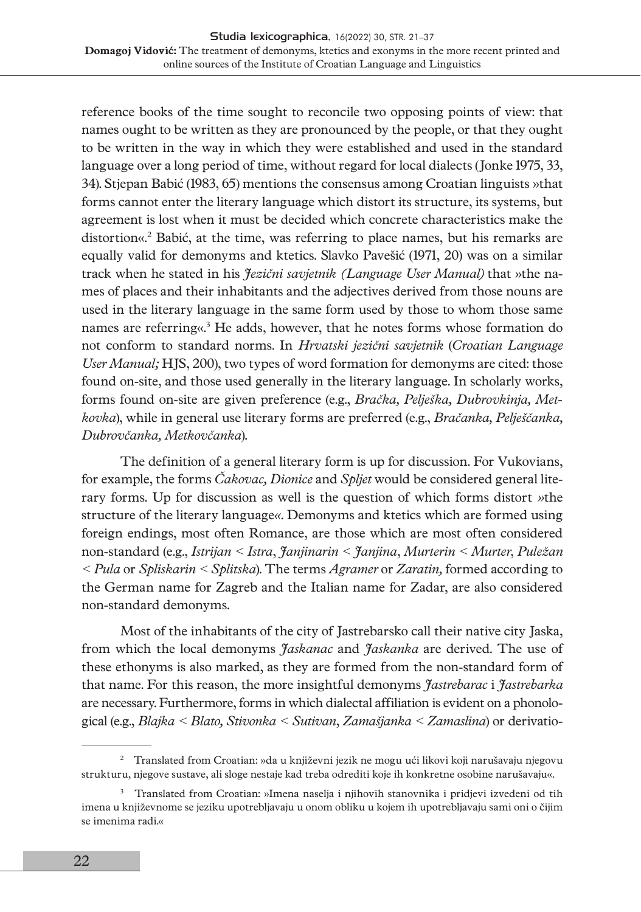reference books of the time sought to reconcile two opposing points of view: that names ought to be written as they are pronounced by the people, or that they ought to be written in the way in which they were established and used in the standard language over a long period of time, without regard for local dialects (Jonke 1975, 33, 34). Stjepan Babić (1983, 65) mentions the consensus among Croatian linguists »that forms cannot enter the literary language which distort its structure, its systems, but agreement is lost when it must be decided which concrete characteristics make the distortion«.2 Babić, at the time, was referring to place names, but his remarks are equally valid for demonyms and ktetics. Slavko Pavešić (1971, 20) was on a similar track when he stated in his *Jezični savjetnik (Language User Manual)* that »the names of places and their inhabitants and the adjectives derived from those nouns are used in the literary language in the same form used by those to whom those same names are referring«.<sup>3</sup> He adds, however, that he notes forms whose formation do not conform to standard norms. In *Hrvatski jezični savjetnik* (*Croatian Language User Manual;* HJS, 200), two types of word formation for demonyms are cited: those found on-site, and those used generally in the literary language. In scholarly works, forms found on-site are given preference (e.g., *Bračka, Pelješka, Dubrovkinja, Metkovka*), while in general use literary forms are preferred (e.g., *Bračanka, Pelješčanka, Dubrovčanka, Metkovčanka*).

The definition of a general literary form is up for discussion. For Vukovians, for example, the forms *Čakovac, Dionice* and *Spljet* would be considered general literary forms. Up for discussion as well is the question of which forms distort *»*the structure of the literary language*«*. Demonyms and ktetics which are formed using foreign endings, most often Romance, are those which are most often considered non-standard (e.g., *Istrijan < Istra*, *Janjinarin < Janjina*, *Murterin < Murter*, *Puležan < Pula* or *Spliskarin < Splitska*). The terms *Agramer* or *Zaratin,* formed according to the German name for Zagreb and the Italian name for Zadar, are also considered non-standard demonyms.

Most of the inhabitants of the city of Jastrebarsko call their native city Jaska, from which the local demonyms *Jaskanac* and *Jaskanka* are derived. The use of these ethonyms is also marked, as they are formed from the non-standard form of that name. For this reason, the more insightful demonyms *Jastrebarac* i *Jastrebarka*  are necessary. Furthermore, forms in which dialectal affiliation is evident on a phonological (e.g., *Blajka < Blato, Stivonka < Sutivan*, *Zamašjanka < Zamaslina*) or derivatio-

<sup>2</sup> Translated from Croatian: »da u književni jezik ne mogu ući likovi koji narušavaju njegovu strukturu, njegove sustave, ali sloge nestaje kad treba odrediti koje ih konkretne osobine narušavaju«.

<sup>3</sup> Translated from Croatian: »Imena naselja i njihovih stanovnika i pridjevi izvedeni od tih imena u književnome se jeziku upotrebljavaju u onom obliku u kojem ih upotrebljavaju sami oni o čijim se imenima radi.«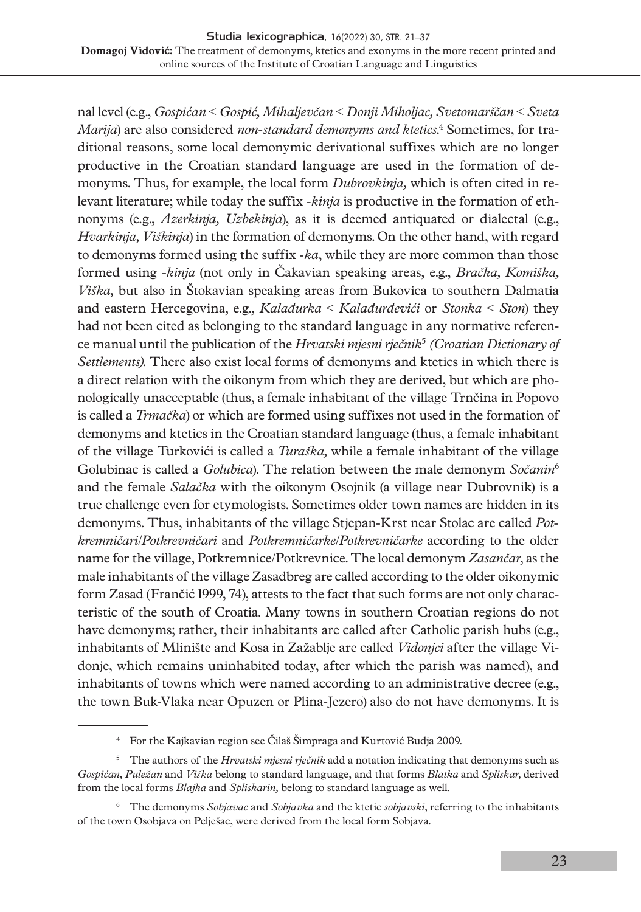nal level (e.g., *Gospićan* < *Gospić, Mihaljevčan* < *Donji Miholjac, Svetomarščan* < *Sveta Marija*) are also considered *non-standard demonyms and ktetics*. 4 Sometimes, for traditional reasons, some local demonymic derivational suffixes which are no longer productive in the Croatian standard language are used in the formation of demonyms. Thus, for example, the local form *Dubrovkinja,* which is often cited in relevant literature; while today the suffix *-kinja* is productive in the formation of ethnonyms (e*.*g., *Azerkinja, Uzbekinja*), as it is deemed antiquated or dialectal (e.g., *Hvarkinja, Viškinja*) in the formation of demonyms. On the other hand, with regard to demonyms formed using the suffix *-ka*, while they are more common than those formed using -*kinja* (not only in Čakavian speaking areas, e.g., *Bračka, Komiška, Viška,* but also in Štokavian speaking areas from Bukovica to southern Dalmatia and eastern Hercegovina, e.g., *Kalađurka* < *Kalađurđevići* or *Stonka* < *Ston*) they had not been cited as belonging to the standard language in any normative reference manual until the publication of the *Hrvatski mjesni rječnik*<sup>5</sup>  *(Croatian Dictionary of Settlements).* There also exist local forms of demonyms and ktetics in which there is a direct relation with the oikonym from which they are derived, but which are phonologically unacceptable (thus, a female inhabitant of the village Trnčina in Popovo is called a *Trmačka*) or which are formed using suffixes not used in the formation of demonyms and ktetics in the Croatian standard language (thus, a female inhabitant of the village Turkovići is called a *Turaška,* while a female inhabitant of the village Golubinac is called a *Golubica*). The relation between the male demonym *Sočanin*<sup>6</sup> and the female *Salačka* with the oikonym Osojnik (a village near Dubrovnik) is a true challenge even for etymologists. Sometimes older town names are hidden in its demonyms. Thus, inhabitants of the village Stjepan-Krst near Stolac are called *Potkremničari*/*Potkrevničari* and *Potkremničarke*/*Potkrevničarke* according to the older name for the village, Potkremnice/Potkrevnice. The local demonym *Zasančar*, as the male inhabitants of the village Zasadbreg are called according to the older oikonymic form Zasad (Frančić 1999, 74), attests to the fact that such forms are not only characteristic of the south of Croatia. Many towns in southern Croatian regions do not have demonyms; rather, their inhabitants are called after Catholic parish hubs (e.g., inhabitants of Mlinište and Kosa in Zažablje are called *Vidonjci* after the village Vidonje, which remains uninhabited today, after which the parish was named), and inhabitants of towns which were named according to an administrative decree (e.g., the town Buk-Vlaka near Opuzen or Plina-Jezero) also do not have demonyms. It is

<sup>4</sup> For the Kajkavian region see Čilaš Šimpraga and Kurtović Budja 2009.

<sup>5</sup> The authors of the *Hrvatski mjesni rječnik* add a notation indicating that demonyms such as *Gospićan, Puležan* and *Viška* belong to standard language, and that forms *Blatka* and *Spliskar,* derived from the local forms *Blajka* and *Spliskarin,* belong to standard language as well.

<sup>6</sup> The demonyms *Sobjavac* and *Sobjavka* and the ktetic *sobjavski,* referring to the inhabitants of the town Osobjava on Pelješac, were derived from the local form Sobjava.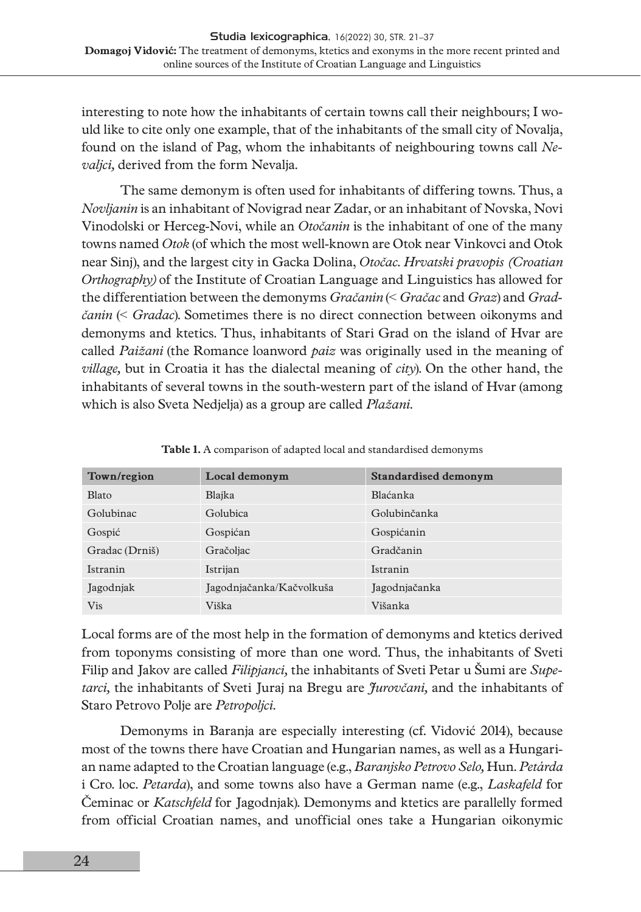interesting to note how the inhabitants of certain towns call their neighbours; I would like to cite only one example, that of the inhabitants of the small city of Novalja, found on the island of Pag, whom the inhabitants of neighbouring towns call *Nevaljci,* derived from the form Nevalja.

The same demonym is often used for inhabitants of differing towns. Thus, a *Novljanin* is an inhabitant of Novigrad near Zadar, or an inhabitant of Novska, Novi Vinodolski or Herceg-Novi, while an *Otočanin* is the inhabitant of one of the many towns named *Otok* (of which the most well-known are Otok near Vinkovci and Otok near Sinj), and the largest city in Gacka Dolina, *Otočac*. *Hrvatski pravopis (Croatian Orthography)* of the Institute of Croatian Language and Linguistics has allowed for the differentiation between the demonyms *Gračanin* (< *Gračac* and *Graz*) and *Gradčanin* (< *Gradac*). Sometimes there is no direct connection between oikonyms and demonyms and ktetics. Thus, inhabitants of Stari Grad on the island of Hvar are called *Paižani* (the Romance loanword *paiz* was originally used in the meaning of *village,* but in Croatia it has the dialectal meaning of *city*). On the other hand, the inhabitants of several towns in the south-western part of the island of Hvar (among which is also Sveta Nedjelja) as a group are called *Plažani*.

| Town/region    | Local demonym            | Standardised demonym |  |
|----------------|--------------------------|----------------------|--|
| Blato          | Blajka                   | Blaćanka             |  |
| Golubinac      | Golubica                 | Golubinčanka         |  |
| Gospić         | Gospićan                 | Gospićanin           |  |
| Gradac (Drniš) | Gračoljac                | Gradčanin            |  |
| Istranin       | Istrijan                 | Istranin             |  |
| Jagodnjak      | Jagodnjačanka/Kačvolkuša | Jagodnjačanka        |  |
| Vis            | Viška                    | Višanka              |  |

**Table 1.** A comparison of adapted local and standardised demonyms

Local forms are of the most help in the formation of demonyms and ktetics derived from toponyms consisting of more than one word. Thus, the inhabitants of Sveti Filip and Jakov are called *Filipjanci,* the inhabitants of Sveti Petar u Šumi are *Supetarci,* the inhabitants of Sveti Juraj na Bregu are *Jurovčani,* and the inhabitants of Staro Petrovo Polje are *Petropoljci*.

Demonyms in Baranja are especially interesting (cf. Vidović 2014), because most of the towns there have Croatian and Hungarian names, as well as a Hungarian name adapted to the Croatian language (e.g., *Baranjsko Petrovo Selo,* Hun. *Petárda* i Cro. loc. *Petarda*), and some towns also have a German name (e.g., *Laskafeld* for Čeminac or *Katschfeld* for Jagodnjak). Demonyms and ktetics are parallelly formed from official Croatian names, and unofficial ones take a Hungarian oikonymic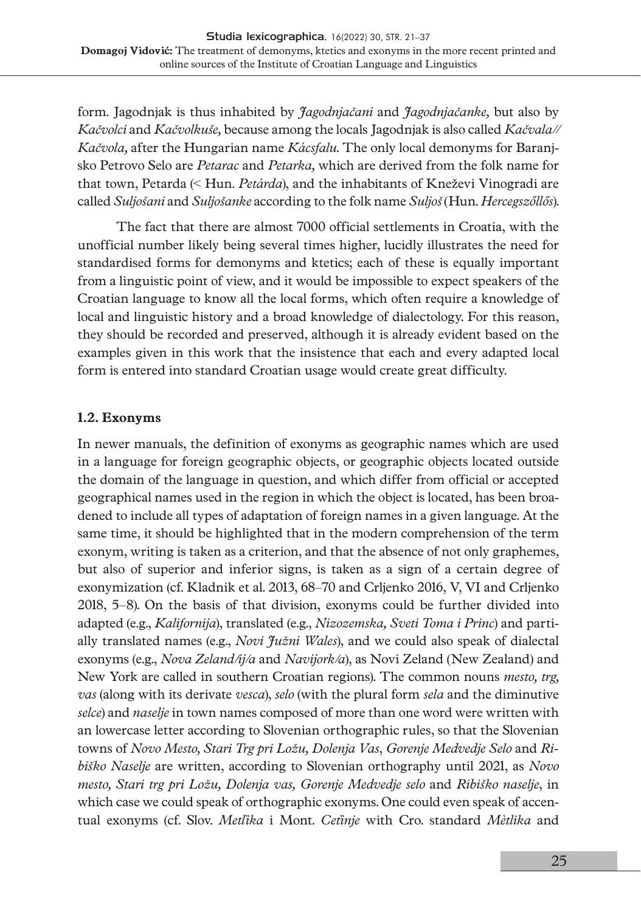form. Jagodnjak is thus inhabited by *Jagodnjačani* and *Jagodnjačanke,* but also by *Kačvolci* and *Kačvolkuše,* because among the locals Jagodnjak is also called *Kačvala// Kačvola,* after the Hungarian name *Kácsfalu*. The only local demonyms for Baranjsko Petrovo Selo are *Petarac* and *Petarka,* which are derived from the folk name for that town, Petarda (< Hun. *Petárda*), and the inhabitants of Kneževi Vinogradi are called *Suljošani* and *Suljošanke* according to the folk name *Suljoš* (Hun. *Hercegszőllős*).

The fact that there are almost 7000 official settlements in Croatia, with the unofficial number likely being several times higher, lucidly illustrates the need for standardised forms for demonyms and ktetics; each of these is equally important from a linguistic point of view, and it would be impossible to expect speakers of the Croatian language to know all the local forms, which often require a knowledge of local and linguistic history and a broad knowledge of dialectology. For this reason, they should be recorded and preserved, although it is already evident based on the examples given in this work that the insistence that each and every adapted local form is entered into standard Croatian usage would create great difficulty.

## **1.2. Exonyms**

In newer manuals, the definition of exonyms as geographic names which are used in a language for foreign geographic objects, or geographic objects located outside the domain of the language in question, and which differ from official or accepted geographical names used in the region in which the object is located, has been broadened to include all types of adaptation of foreign names in a given language. At the same time, it should be highlighted that in the modern comprehension of the term exonym, writing is taken as a criterion, and that the absence of not only graphemes, but also of superior and inferior signs, is taken as a sign of a certain degree of exonymization (cf. Kladnik et al. 2013, 68–70 and Crljenko 2016, V, VI and Crljenko 2018, 5–8). On the basis of that division, exonyms could be further divided into adapted (e.g., *Kalifornija*), translated (e.g., *Nizozemska, Sveti Toma i Princ*) and partially translated names (e.g., *Novi Južni Wales*), and we could also speak of dialectal exonyms (e.g., *Nova Zeland/ij/a* and *Navijork/a*), as Novi Zeland (New Zealand) and New York are called in southern Croatian regions). The common nouns *mesto, trg, vas* (along with its derivate *vesca*), *selo* (with the plural form *sela* and the diminutive *selce*) and *naselje* in town names composed of more than one word were written with an lowercase letter according to Slovenian orthographic rules, so that the Slovenian towns of *Novo Mesto, Stari Trg pri Ložu, Dolenja Vas*, *Gorenje Medvedje Selo* and *Ribiško Naselje* are written, according to Slovenian orthography until 2021, as *Novo mesto, Stari trg pri Ložu, Dolenja vas, Gorenje Medvedje selo* and *Ribiško naselje*, in which case we could speak of orthographic exonyms. One could even speak of accentual exonyms (cf. Slov. *Metlȉka* i Mont. *Cetȉnje* with Cro. standard *Mètlika* and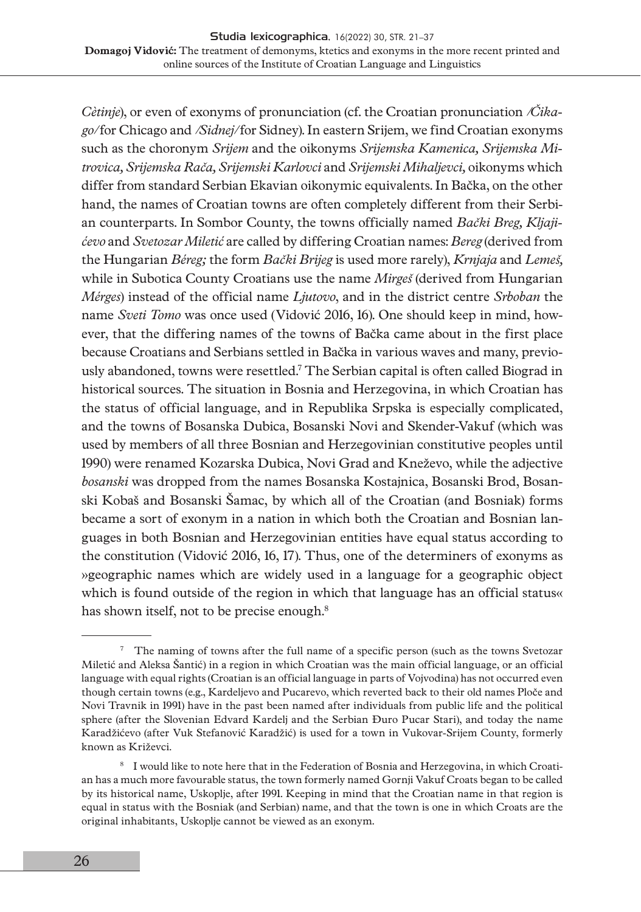*Cètinje*), or even of exonyms of pronunciation (cf. the Croatian pronunciation */Čikago/* for Chicago and */Sidnej/* for Sidney). In eastern Srijem, we find Croatian exonyms such as the choronym *Srijem* and the oikonyms *Srijemska Kamenica, Srijemska Mitrovica, Srijemska Rača, Srijemski Karlovci* and *Srijemski Mihaljevci,* oikonyms which differ from standard Serbian Ekavian oikonymic equivalents. In Bačka, on the other hand, the names of Croatian towns are often completely different from their Serbian counterparts. In Sombor County, the towns officially named *Bački Breg, Kljajićevo* and *Svetozar Miletić* are called by differing Croatian names: *Bereg* (derived from the Hungarian *Béreg;* the form *Bački Brijeg* is used more rarely), *Krnjaja* and *Lemeš,* while in Subotica County Croatians use the name *Mirgeš* (derived from Hungarian *Mérges*) instead of the official name *Ljutovo*, and in the district centre *Srboban* the name *Sveti Tomo* was once used (Vidović 2016, 16). One should keep in mind, however, that the differing names of the towns of Bačka came about in the first place because Croatians and Serbians settled in Bačka in various waves and many, previously abandoned, towns were resettled.7 The Serbian capital is often called Biograd in historical sources. The situation in Bosnia and Herzegovina, in which Croatian has the status of official language, and in Republika Srpska is especially complicated, and the towns of Bosanska Dubica, Bosanski Novi and Skender-Vakuf (which was used by members of all three Bosnian and Herzegovinian constitutive peoples until 1990) were renamed Kozarska Dubica, Novi Grad and Kneževo, while the adjective *bosanski* was dropped from the names Bosanska Kostajnica, Bosanski Brod, Bosanski Kobaš and Bosanski Šamac, by which all of the Croatian (and Bosniak) forms became a sort of exonym in a nation in which both the Croatian and Bosnian languages in both Bosnian and Herzegovinian entities have equal status according to the constitution (Vidović 2016, 16, 17). Thus, one of the determiners of exonyms as »geographic names which are widely used in a language for a geographic object which is found outside of the region in which that language has an official status« has shown itself, not to be precise enough.<sup>8</sup>

<sup>7</sup> The naming of towns after the full name of a specific person (such as the towns Svetozar Miletić and Aleksa Šantić) in a region in which Croatian was the main official language, or an official language with equal rights (Croatian is an official language in parts of Vojvodina) has not occurred even though certain towns (e.g., Kardeljevo and Pucarevo, which reverted back to their old names Ploče and Novi Travnik in 1991) have in the past been named after individuals from public life and the political sphere (after the Slovenian Edvard Kardelj and the Serbian Đuro Pucar Stari), and today the name Karadžićevo (after Vuk Stefanović Karadžić) is used for a town in Vukovar-Srijem County, formerly known as Križevci.

<sup>8</sup> I would like to note here that in the Federation of Bosnia and Herzegovina, in which Croatian has a much more favourable status, the town formerly named Gornji Vakuf Croats began to be called by its historical name, Uskoplje, after 1991. Keeping in mind that the Croatian name in that region is equal in status with the Bosniak (and Serbian) name, and that the town is one in which Croats are the original inhabitants, Uskoplje cannot be viewed as an exonym.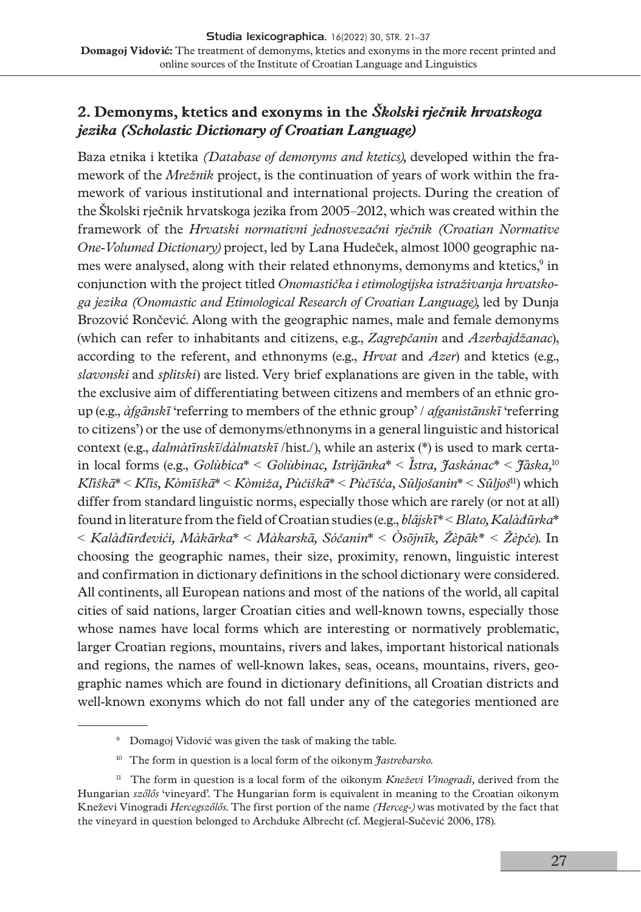## **2. Demonyms, ktetics and exonyms in the** *Školski rječnik hrvatskoga jezika (Scholastic Dictionary of Croatian Language)*

Baza etnika i ktetika *(Database of demonyms and ktetics),* developed within the framework of the *Mrežnik* project, is the continuation of years of work within the framework of various institutional and international projects. During the creation of the Školski rječnik hrvatskoga jezika from 2005–2012, which was created within the framework of the *Hrvatski normativni jednosvezačni rječnik (Croatian Normative One-Volumed Dictionary)* project, led by Lana Hudeček, almost 1000 geographic names were analysed, along with their related ethnonyms, demonyms and ktetics, $^9$  in conjunction with the project titled *Onomastička i etimologijska istraživanja hrvatskoga jezika (Onomastic and Etimological Research of Croatian Language),* led by Dunja Brozović Rončević. Along with the geographic names, male and female demonyms (which can refer to inhabitants and citizens, e.g., *Zagrepčanin* and *Azerbajdžanac*), according to the referent, and ethnonyms (e.g., *Hrvat* and *Azer*) and ktetics (e.g., *slavonski* and *splitski*) are listed. Very brief explanations are given in the table, with the exclusive aim of differentiating between citizens and members of an ethnic group (e.g., *àfgānskī* 'referring to members of the ethnic group' / *afganìstānskī* 'referring to citizens') or the use of demonyms/ethnonyms in a general linguistic and historical context (e.g., *dalmàtīnskī*/*dàlmatskī* /hist./), while an asterix (\*) is used to mark certain local forms (e.g., *Golùbica*\* < *Golùbinac, Istrìjānka*\* < *Ȉstra, Jaskánac*\* < *Jȁska,*<sup>10</sup> *Klȉškā*\* < *Klȉs, Kòmīškā*\* < *Kòmiža, Pùčiškā*\* < *Pùčīšća, Sȗljošanin*\* < *Sȗljoš*11) which differ from standard linguistic norms, especially those which are rarely (or not at all) found in literature from the field of Croatian studies (e.g., *blȃjskī*\* < *Blato, Kalàđūrka*\* < *Kalàđūrđevići, Màkārka*\* < *Màkarskā, Sóčanin*\* < *Òsōjnīk, Žèpāk\* < Žèpče*). In choosing the geographic names, their size, proximity, renown, linguistic interest and confirmation in dictionary definitions in the school dictionary were considered. All continents, all European nations and most of the nations of the world, all capital cities of said nations, larger Croatian cities and well-known towns, especially those whose names have local forms which are interesting or normatively problematic, larger Croatian regions, mountains, rivers and lakes, important historical nationals and regions, the names of well-known lakes, seas, oceans, mountains, rivers, geographic names which are found in dictionary definitions, all Croatian districts and well-known exonyms which do not fall under any of the categories mentioned are

<sup>&</sup>lt;sup>9</sup> Domagoj Vidović was given the task of making the table.

<sup>10</sup> The form in question is a local form of the oikonym *Jastrebarsko*.

<sup>&</sup>lt;sup>11</sup> The form in question is a local form of the oikonym *Kneževi Vinogradi*, derived from the Hungarian *szőlős* 'vineyard'. The Hungarian form is equivalent in meaning to the Croatian oikonym Kneževi Vinogradi *Hercegszőlős*. The first portion of the name *(Herceg-)* was motivated by the fact that the vineyard in question belonged to Archduke Albrecht (cf. Megjeral-Sučević 2006, 178).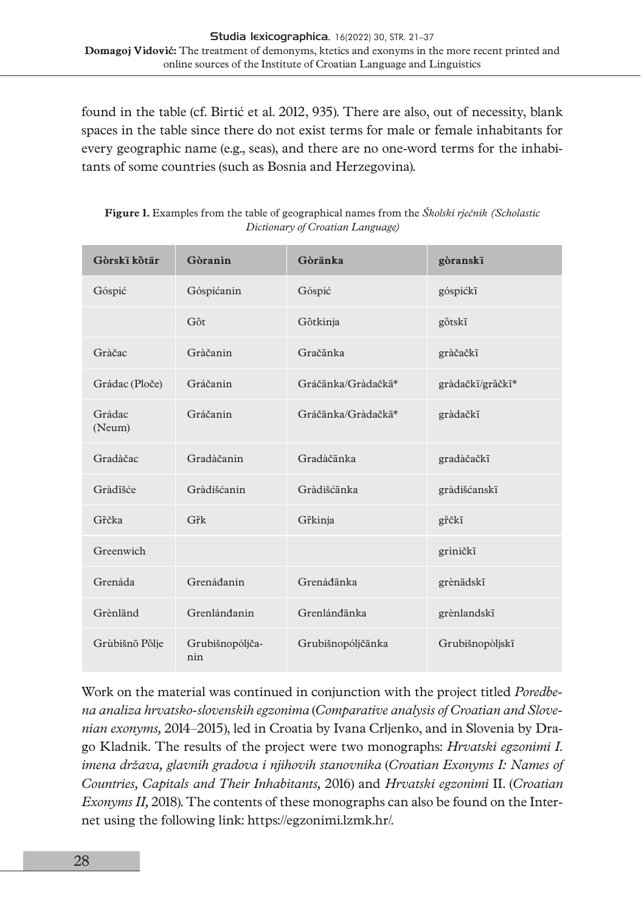found in the table (cf. Birtić et al. 2012, 935). There are also, out of necessity, blank spaces in the table since there do not exist terms for male or female inhabitants for every geographic name (e.g., seas), and there are no one-word terms for the inhabitants of some countries (such as Bosnia and Herzegovina).

| Gòrskī kötār     | Gòranin                | Gòrānka            | gòranskī         |
|------------------|------------------------|--------------------|------------------|
| Góspić           | Góspićanin             | Góspić             | góspićkī         |
|                  | Gồt                    | Götkinja           | götskī           |
| Gràčac           | Gràčanin               | Gračānka           | gràčačkī         |
| Grádac (Ploče)   | Gráčanin               | Gráčānka/Gràdačkā* | gràdačkī/gràčkī* |
| Grádac<br>(Neum) | Gráčanin               | Gráčānka/Gràdačkā* | gràdačkī         |
| Gradàčac         | Gradàčanin             | Gradàčānka         | gradàčačkī       |
| Gràdīšće         | Gràdišćanin            | Gràdišćānka        | gràdišćanskī     |
| Grčka            | Gřk                    | Gr̃kinja           | grčkī            |
| Greenwich        |                        |                    | grìničkī         |
| Grenáda          | Grenáđanin             | Grenádānka         | grènādskī        |
| Grènländ         | Grenlándanin           | Grenlándānka       | grènlandskī      |
| Grùbišnō Pölje   | Grubišnopóljča-<br>nin | Grubišnopóljčānka  | Grubišnopòljskī  |

**Figure 1.** Examples from the table of geographical names from the *Školski rječnik (Scholastic Dictionary of Croatian Language)*

Work on the material was continued in conjunction with the project titled *Poredbena analiza hrvatsko-slovenskih egzonima* (*Comparative analysis of Croatian and Slovenian exonyms,* 2014–2015), led in Croatia by Ivana Crljenko, and in Slovenia by Drago Kladnik. The results of the project were two monographs: *Hrvatski egzonimi I. imena država, glavnih gradova i njihovih stanovnika* (*Croatian Exonyms I: Names of Countries, Capitals and Their Inhabitants,* 2016) and *Hrvatski egzonimi* II. (*Croatian Exonyms II,* 2018). The contents of these monographs can also be found on the Internet using the following link: [https://egzonimi.lzmk.hr/.](https://egzonimi.lzmk.hr/)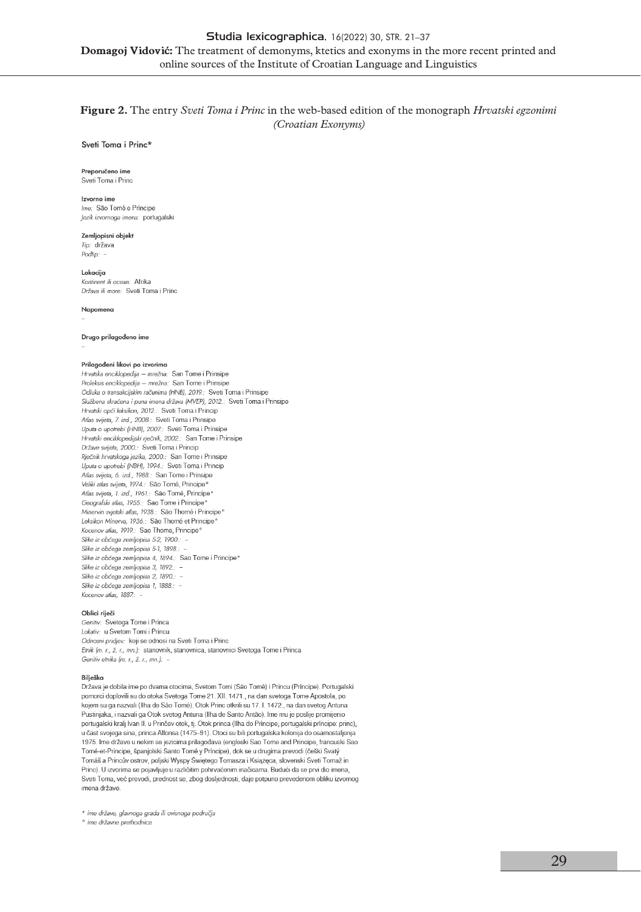### **Figure 2.** The entry *Sveti Toma i Princ* in the web-based edition of the monograph *Hrvatski egzonimi (Croatian Exonyms)*

Sveti Toma i Princ\*

Preporučeno ime Sveti Toma i Princ

#### Izvorno ime

Ime: São Tomé e Príncipe lezik izvornoga imena: portugalski

**Zemlionisni objekt** Tin: država  $P_{\text{odlin}}$ 

Lokacija Kontinent ili ocean: Afrika Država ili more: Sveti Toma i Princ

Napomena

Drugo prilagođeno ime

#### Prilagođeni likovi po izvorima

Hrvatska enciklopedija - mrežna: San Tome i Prinsipe Proleksis enciklopedija - mrežna: San Tome i Prinsipe Odluka o transakcijskim računima (HNB), 2019.: Sveti Toma i Prinsipe Službena skraćena i puna imena država (MVEP), 2012.: Sveti Toma i Prinsipe Hrvatski opći leksikon, 2012.: Sveti Toma i Princip Atlas svijeta, 7. izd., 2008.: Sveti Toma i Prinsipe Uputa o upotrebi (HNB), 2007.: Sveti Toma i Prinsipe Hrvatski enciklopedijski rječnik, 2002.: San Tome i Prinsipe Države svijeta, 2000.: Sveti Toma i Princip Rječnik hrvatskoga jezika, 2000.: San Tome i Prinsipe Uputa o upotrebi (NBH), 1994.: Sveti Toma i Princip Atlas svijeta, 6. izd., 1988.: San Tome i Prinsipe Veliki atlas svijeta, 1974.: São Tomé, Principe<sup>s</sup> Atlas svijeta, 1. izd., 1961.: São Tomé, Principe<sup>e</sup> Geografski atlas, 1955.: Sao Tome i Principe<sup>®</sup> Minervin svietski atlas. 1938.: São Thomé i Principe<sup>®</sup> Leksikon Minerva, 1936.: São Thomé et Principe Kocenov atlas, 1919.: Sao Thome, Principe<sup>o</sup> Slike iz obćega zemljopisa 5-2, 1900.: -Slike iz obćega zemljopisa 5-1, 1898.: Slike iz obćega zemljopisa 4, 1894.: Sao Tome i Principe° Slike iz obćega zemljopisa 3, 1892.: -Slike iz obćega zemljopisa 2, 1890.: -Slike iz obćega zemljopisa 1, 1888.: -Kocenov atlas, 1887.:

#### Oblici riječi

Genitiv: Svetoga Tome i Princa Lokativ: u Svetom Tomi i Princu Odnosni pridjev: koji se odnosi na Sveti Toma i Princ Etnik (m. r., ž. r., mn.): stanovnik, stanovnica, stanovnici Svetoga Tome i Princa Genitiv etnika (m. r., ž. r., mn.): -

#### Bilješko

Država je dobila ime po dvama otocima, Svetom Tomi (São Tomé) i Princu (Príncipe). Portugalski pomorci doplovili su do otoka Svetoga Tome 21. XII. 1471., na dan svetoga Tome Apostola, po kojem su ga nazvali (Ilha de São Tomé). Otok Princ otkrili su 17. l. 1472., na dan svetog Antuna Pustinjaka, i nazvali ga Otok svetog Antuna (Ilha de Santo Antão). Ime mu je poslije promijenio portugalski kralj Ivan II. u Prinčev otok, tj. Otok princa (Ilha do Príncipe; portugalski príncipe: princ), u čast svojega sina, princa Alfonsa (1475-91). Otoci su bili portugalska kolonija do osamostaljenja 1975. Ime države u nekim se jezicima prilagođava (engleski Sao Tome and Principe, francuski Sao Tomé-et-Principe, španjolski Santo Tomé y Príncipe), dok se u drugima prevodi (češki Svatý Tomáš a Princův ostrov, poljski Wyspy Świętego Tomasza i Książęca, slovenski Sveti Tomaž in Princ). U izvorima se pojavljuje u različitim pohrvaćenim inačicama. Budući da se prvi dio imena, Sveti Toma, već prevodi, prednost se, zbog dosljednosti, daje potpuno prevedenom obliku izvornog imena države.

\* ime države, glavnoga grada ili ovisnoga područja

<sup>o</sup> ime državne prethodnice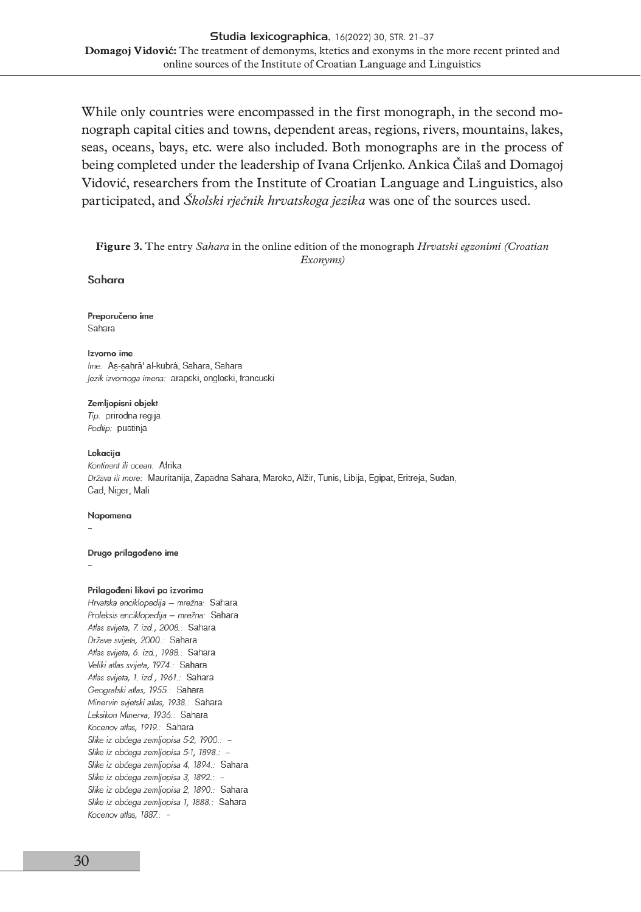While only countries were encompassed in the first monograph, in the second monograph capital cities and towns, dependent areas, regions, rivers, mountains, lakes, seas, oceans, bays, etc. were also included. Both monographs are in the process of being completed under the leadership of Ivana Crljenko. Ankica Čilaš and Domagoj Vidović, researchers from the Institute of Croatian Language and Linguistics, also participated, and *Školski rječnik hrvatskoga jezika* was one of the sources used.

#### **Figure 3.** The entry *Sahara* in the online edition of the monograph *Hrvatski egzonimi (Croatian Exonyms)*

#### Sahara

#### Preporučeno ime Sahara

#### Izvorno ime Ime: As-sahrā' al-kubrá, Sahara, Sahara Jezik izvornoga imena: arapski, engleski, francuski

Zemljopisni objekt Tip: prirodna regija Podtip: pustinja

#### Lokacija

Kontinent ili ocean: Afrika Država ili more: Mauritanija, Zapadna Sahara, Maroko, Alžir, Tunis, Libija, Egipat, Eritreja, Sudan, Čad, Niger, Mali

#### Napomena

#### Drugo prilagođeno ime

#### Prilagođeni likovi po izvorima

Hrvatska enciklopedija - mrežna: Sahara Proleksis enciklopedija - mrežna: Sahara Atlas svijeta, 7. izd., 2008.: Sahara Države svijeta, 2000.: Sahara Atlas svijeta, 6. izd., 1988.: Sahara Veliki atlas svijeta, 1974.: Sahara Atlas svijeta, 1. izd., 1961.: Sahara Geografski atlas, 1955.: Sahara Minervin svjetski atlas, 1938.: Sahara Leksikon Minerva, 1936.: Sahara Kocenov atlas, 1919.: Sahara Slike iz obćega zemljopisa 5-2, 1900.: -Slike iz obćega zemljopisa 5-1, 1898.: -Slike iz obćega zemljopisa 4, 1894.: Sahara Slike iz obćega zemljopisa 3, 1892.: -Slike iz obćega zemljopisa 2, 1890.: Sahara Slike iz obćega zemljopisa 1, 1888.: Sahara Kocenov atlas, 1887.: -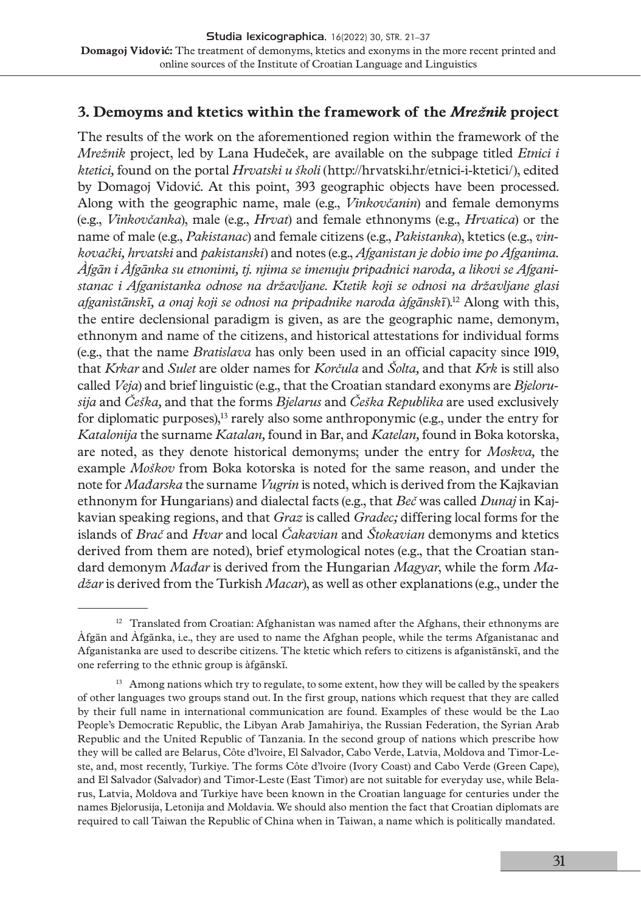## **3. Demoyms and ktetics within the framework of the** *Mrežnik* **project**

The results of the work on the aforementioned region within the framework of the *Mrežnik* project, led by Lana Hudeček, are available on the subpage titled *Etnici i ktetici,* found on the portal *Hrvatski u školi* [\(http://hrvatski.hr/etnici-i-ktetici/\)](http://hrvatski.hr/etnici-i-ktetici/), edited by Domagoj Vidović. At this point, 393 geographic objects have been processed. Along with the geographic name, male (e.g., *Vinkovčanin*) and female demonyms (e.g., *Vinkovčanka*), male (e.g., *Hrvat*) and female ethnonyms (e.g., *Hrvatica*) or the name of male (e.g., *Pakistanac*) and female citizens (e.g., *Pakistanka*), ktetics (e.g., *vinkovački, hrvatski* and *pakistanski*) and notes (e.g., *Afganistan je dobio ime po Afganima. Àfgān i Àfgānka su etnonimi, tj. njima se imenuju pripadnici naroda, a likovi se Afganistanac i Afganistanka odnose na državljane*. *Ktetik koji se odnosi na državljane glasi afganìstānskī, a onaj koji se odnosi na pripadnike naroda àfgānskī*).12 Along with this, the entire declensional paradigm is given, as are the geographic name, demonym, ethnonym and name of the citizens, and historical attestations for individual forms (e.g., that the name *Bratislava* has only been used in an official capacity since 1919, that *Krkar* and *Sulet* are older names for *Korčula* and *Šolta,* and that *Krk* is still also called *Veja*) and brief linguistic (e.g., that the Croatian standard exonyms are *Bjelorusija* and *Češka,* and that the forms *Bjelarus* and *Češka Republika* are used exclusively for diplomatic purposes), $^{13}$  rarely also some anthroponymic (e.g., under the entry for *Katalonija* the surname *Katalan,* found in Bar, and *Katelan,* found in Boka kotorska, are noted, as they denote historical demonyms; under the entry for *Moskva,* the example *Moškov* from Boka kotorska is noted for the same reason, and under the note for *Mađarska* the surname *Vugrin* is noted, which is derived from the Kajkavian ethnonym for Hungarians) and dialectal facts (e.g., that *Beč* was called *Dunaj* in Kajkavian speaking regions, and that *Graz* is called *Gradec;* differing local forms for the islands of *Brač* and *Hvar* and local *Čakavian* and *Štokavian* demonyms and ktetics derived from them are noted), brief etymological notes (e.g., that the Croatian standard demonym *Mađar* is derived from the Hungarian *Magyar*, while the form *Madžar* is derived from the Turkish *Macar*), as well as other explanations (e.g., under the

 $12$  Translated from Croatian: Afghanistan was named after the Afghans, their ethnonyms are Àfgān and Àfgānka, i.e., they are used to name the Afghan people, while the terms Afganistanac and Afganistanka are used to describe citizens. The ktetic which refers to citizens is afganìstānskī, and the one referring to the ethnic group is àfgānskī.

 $13$  Among nations which try to regulate, to some extent, how they will be called by the speakers of other languages two groups stand out. In the first group, nations which request that they are called by their full name in international communication are found. Examples of these would be the Lao People's Democratic Republic, the Libyan Arab Jamahiriya, the Russian Federation, the Syrian Arab Republic and the United Republic of Tanzania. In the second group of nations which prescribe how they will be called are Belarus, Côte d'lvoire, El Salvador, Cabo Verde, Latvia, Moldova and Timor-Leste, and, most recently, Turkiye. The forms Côte d'lvoire (Ivory Coast) and Cabo Verde (Green Cape), and El Salvador (Salvador) and Timor-Leste (East Timor) are not suitable for everyday use, while Belarus, Latvia, Moldova and Turkiye have been known in the Croatian language for centuries under the names Bjelorusija, Letonija and Moldavia. We should also mention the fact that Croatian diplomats are required to call Taiwan the Republic of China when in Taiwan, a name which is politically mandated.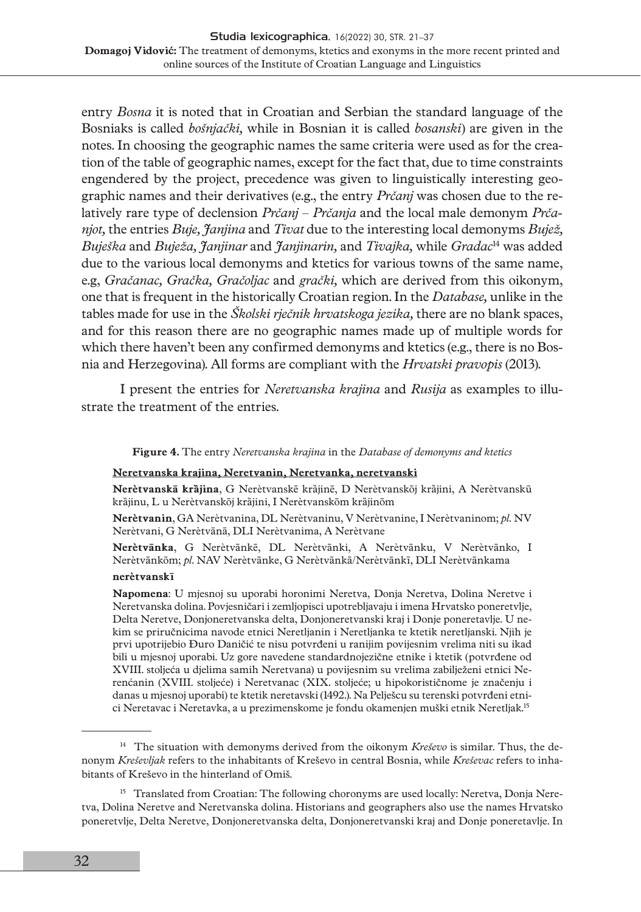entry *Bosna* it is noted that in Croatian and Serbian the standard language of the Bosniaks is called *bošnjački,* while in Bosnian it is called *bosanski*) are given in the notes. In choosing the geographic names the same criteria were used as for the creation of the table of geographic names, except for the fact that, due to time constraints engendered by the project, precedence was given to linguistically interesting geographic names and their derivatives (e.g., the entry *Prčanj* was chosen due to the relatively rare type of declension *Prčanj* – *Prčanja* and the local male demonym *Prčanjot,* the entries *Buje, Janjina* and *Tivat* due to the interesting local demonyms *Bujež, Buješka* and *Buježa, Janjinar* and *Janjinarin,* and *Tivajka,* while *Gradac*14 was added due to the various local demonyms and ktetics for various towns of the same name, e.g, *Gračanac, Gračka, Gračoljac* and *grački,* which are derived from this oikonym, one that is frequent in the historically Croatian region. In the *Database,* unlike in the tables made for use in the *Školski rječnik hrvatskoga jezika,* there are no blank spaces, and for this reason there are no geographic names made up of multiple words for which there haven't been any confirmed demonyms and ktetics (e.g., there is no Bosnia and Herzegovina). All forms are compliant with the *Hrvatski pravopis* (2013).

I present the entries for *Neretvanska krajina* and *Rusija* as examples to illustrate the treatment of the entries.

#### **Figure 4.** The entry *Neretvanska krajina* in the *Database of demonyms and ktetics*

#### **Neretvanska krajina, Neretvanin, Neretvanka, neretvanski**

**Nerètvanskā krȁjina**, G Nerètvanskē krȁjinē, D Nerètvanskōj krȁjini, A Nerètvanskū krȁjinu, L u Nerètvanskōj krȁjini, I Nerètvanskōm krȁjinōm

**Nerètvanin**, GA Nerètvanina, DL Nerètvaninu, V Nerètvanine, I Nerètvaninom; *pl.* NV Nerètvani, G Nerètvānā, DLI Nerètvanima, A Nerètvane

**Nerètvānka**, G Nerètvānkē, DL Nerètvānki, A Nerètvānku, V Nerètvānko, I Nerètvānkōm; *pl*. NAV Nerètvānke, G Nerètvānkā/Nerètvānkī, DLI Nerètvānkama

### **nerètvanskī**

**Napomena**: U mjesnoj su uporabi horonimi Neretva, Donja Neretva, Dolina Neretve i Neretvanska dolina. Povjesničari i zemljopisci upotrebljavaju i imena Hrvatsko poneretvlje, Delta Neretve, Donjoneretvanska delta, Donjoneretvanski kraj i Donje poneretavlje. U nekim se priručnicima navode etnici Neretljanin i Neretljanka te ktetik neretljanski. Njih je prvi upotrijebio Đuro Daničić te nisu potvrđeni u ranijim povijesnim vrelima niti su ikad bili u mjesnoj uporabi. Uz gore navedene standardnojezične etnike i ktetik (potvrđene od XVIII. stoljeća u djelima samih Neretvana) u povijesnim su vrelima zabilježeni etnici Nerenćanin (XVIII. stoljeće) i Neretvanac (XIX. stoljeće; u hipokorističnome je značenju i danas u mjesnoj uporabi) te ktetik neretavski (1492.). Na Pelješcu su terenski potvrđeni etnici Neretavac i Neretavka, a u prezimenskome je fondu okamenjen muški etnik Neretljak.15

<sup>&</sup>lt;sup>14</sup> The situation with demonyms derived from the oikonym *Kreševo* is similar. Thus, the denonym *Kreševljak* refers to the inhabitants of Kreševo in central Bosnia, while *Kreševac* refers to inhabitants of Kreševo in the hinterland of Omiš.

<sup>&</sup>lt;sup>15</sup> Translated from Croatian: The following choronyms are used locally: Neretva, Donja Neretva, Dolina Neretve and Neretvanska dolina. Historians and geographers also use the names Hrvatsko poneretvlje, Delta Neretve, Donjoneretvanska delta, Donjoneretvanski kraj and Donje poneretavlje. In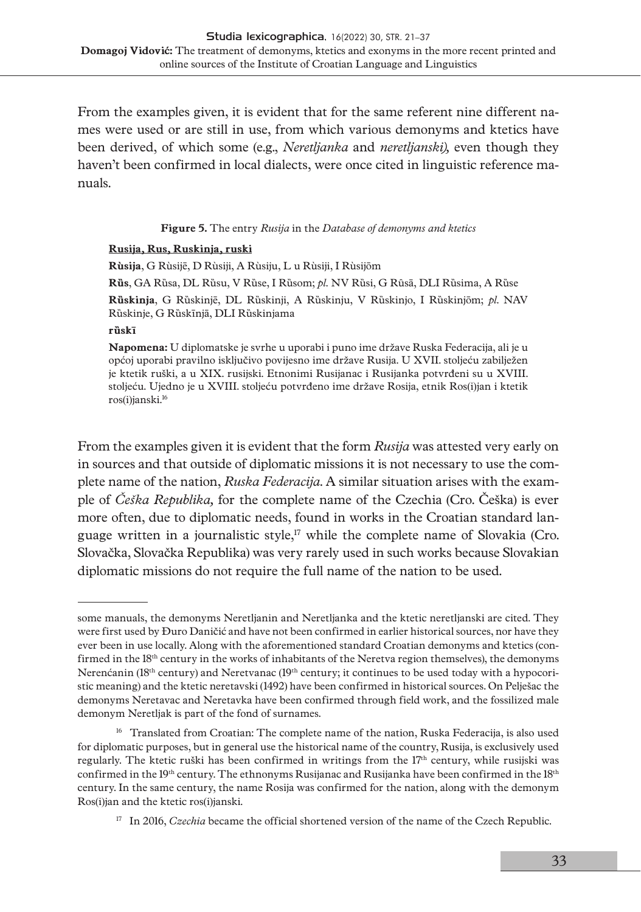From the examples given, it is evident that for the same referent nine different names were used or are still in use, from which various demonyms and ktetics have been derived, of which some (e.g., *Neretljanka* and *neretljanski),* even though they haven't been confirmed in local dialects, were once cited in linguistic reference manuals.

**Figure 5.** The entry *Rusija* in the *Database of demonyms and ktetics*

#### **Rusija, Rus, Ruskinja, ruski**

**Rùsija**, G Rùsijē, D Rùsiji, A Rùsiju, L u Rùsiji, I Rùsijōm **Rȕs**, GA Rȕsa, DL Rȕsu, V Rȕse, I Rȕsom; *pl.* NV Rȕsi, G Rȗsā, DLI Rȕsima, A Rȕse **Rȕskinja**, G Rȕskinjē, DL Rȕskinji, A Rȕskinju, V Rȕskinjo, I Rȕskinjōm; *pl*. NAV Rȕskinje, G Rȕskīnjā, DLI Rȕskinjama

#### **rȕskī**

**Napomena:** U diplomatske je svrhe u uporabi i puno ime države Ruska Federacija, ali je u općoj uporabi pravilno isključivo povijesno ime države Rusija. U XVII. stoljeću zabilježen je ktetik ruški, a u XIX. rusijski. Etnonimi Rusijanac i Rusijanka potvrđeni su u XVIII. stoljeću. Ujedno je u XVIII. stoljeću potvrđeno ime države Rosija, etnik Ros(i)jan i ktetik ros(i)janski.16

From the examples given it is evident that the form *Rusija* was attested very early on in sources and that outside of diplomatic missions it is not necessary to use the complete name of the nation, *Ruska Federacija*. A similar situation arises with the example of *Češka Republika,* for the complete name of the Czechia (Cro. Češka) is ever more often, due to diplomatic needs, found in works in the Croatian standard language written in a journalistic style,<sup>17</sup> while the complete name of Slovakia (Cro. Slovačka, Slovačka Republika) was very rarely used in such works because Slovakian diplomatic missions do not require the full name of the nation to be used.

some manuals, the demonyms Neretljanin and Neretljanka and the ktetic neretljanski are cited. They were first used by Đuro Daničić and have not been confirmed in earlier historical sources, nor have they ever been in use locally. Along with the aforementioned standard Croatian demonyms and ktetics (confirmed in the 18th century in the works of inhabitants of the Neretva region themselves), the demonyms Nerenćanin (18<sup>th</sup> century) and Neretvanac (19<sup>th</sup> century; it continues to be used today with a hypocoristic meaning) and the ktetic neretavski (1492) have been confirmed in historical sources. On Pelješac the demonyms Neretavac and Neretavka have been confirmed through field work, and the fossilized male demonym Neretljak is part of the fond of surnames.

<sup>&</sup>lt;sup>16</sup> Translated from Croatian: The complete name of the nation, Ruska Federacija, is also used for diplomatic purposes, but in general use the historical name of the country, Rusija, is exclusively used regularly. The ktetic ruški has been confirmed in writings from the 17<sup>th</sup> century, while rusijski was confirmed in the 19th century. The ethnonyms Rusijanac and Rusijanka have been confirmed in the 18th century. In the same century, the name Rosija was confirmed for the nation, along with the demonym Ros(i)jan and the ktetic ros(i)janski.

<sup>&</sup>lt;sup>17</sup> In 2016, *Czechia* became the official shortened version of the name of the Czech Republic.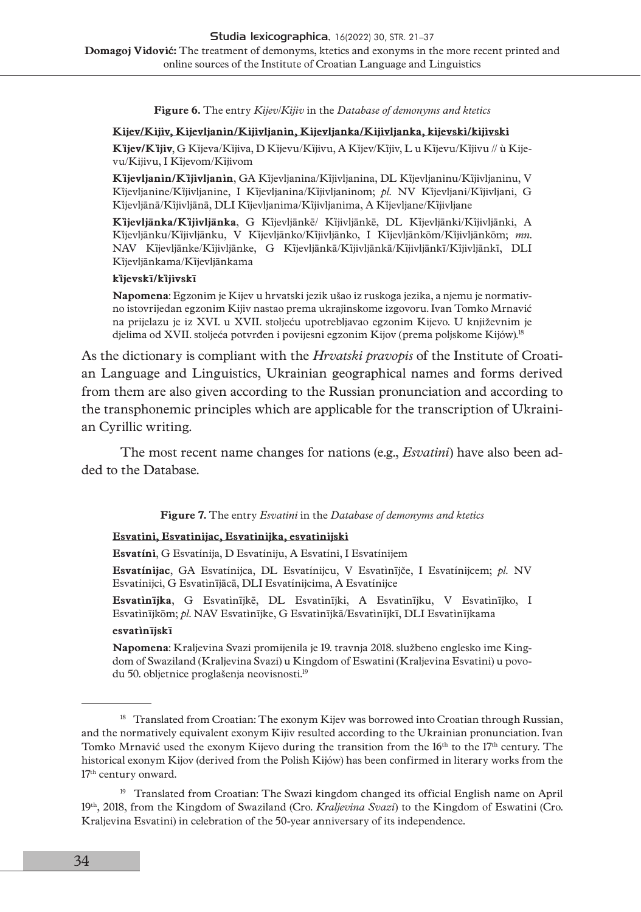**Figure 6.** The entry *Kijev*/*Kijiv* in the *Database of demonyms and ktetics*

#### **Kijev/Kijiv, Kijevljanin/Kijivljanin, Kijevljanka/Kijivljanka, kijevski/kijivski**

**Kȉjev/Kȉjiv**, G Kȉjeva/Kȉjiva, D Kȉjevu/Kȉjivu, A Kȉjev/Kȉjiv, L u Kȉjevu/Kȉjivu // ù Kijevu/Kijivu, I Kȉjevom/Kȉjivom

**Kȉjevljanin/Kȉjivljanin**, GA Kȉjevljanina/Kȉjivljanina, DL Kȉjevljaninu/Kȉjivljaninu, V Kȉjevljanine/Kȉjivljanine, I Kȉjevljanina/Kȉjivljaninom; *pl.* NV Kȉjevljani/Kȉjivljani, G Kìjevljānā/Kìjivljānā, DLI Kìjevljanima/Kìjivljanima, A Kìjevljane/Kìjivljane

**Kȉjevljānka/Kȉjivljānka**, G Kȉjevljānkē/ Kȉjivljānkē, DL Kȉjevljānki/Kȉjivljānki, A Kȉjevljānku/Kȉjivljānku, V Kȉjevljānko/Kȉjivljānko, I Kȉjevljānkōm/Kȉjivljānkōm; *mn*. NAV Kȉjevljānke/Kȉjivljānke, G Kȉjevljānkā/Kȉjivljānkā/Kȉjivljānkī/Kȉjivljānkī, DLI Kȉjevljānkama/Kȉjevljānkama

#### **kȉjevskī/kȉjivskī**

**Napomena**: Egzonim je Kijev u hrvatski jezik ušao iz ruskoga jezika, a njemu je normativno istovrijedan egzonim Kijiv nastao prema ukrajinskome izgovoru. Ivan Tomko Mrnavić na prijelazu je iz XVI. u XVII. stoljeću upotrebljavao egzonim Kijevo. U književnim je djelima od XVII. stoljeća potvrđen i povijesni egzonim Kijov (prema poljskome Kijów).<sup>18</sup>

As the dictionary is compliant with the *Hrvatski pravopis* of the Institute of Croatian Language and Linguistics, Ukrainian geographical names and forms derived from them are also given according to the Russian pronunciation and according to the transphonemic principles which are applicable for the transcription of Ukrainian Cyrillic writing.

The most recent name changes for nations (e.g., *Esvatini*) have also been added to the Database.

**Figure 7.** The entry *Esvatini* in the *Database of demonyms and ktetics*

### **Esvatini, Esvatinijac, Esvatinijka, esvatinijski**

**Esvatíni**, G Esvatínija, D Esvatíniju, A Esvatíni, I Esvatínijem

**Esvatínijac**, GA Esvatínijca, DL Esvatínijcu, V Esvatìnījče, I Esvatínijcem; *pl.* NV Esvatínijci, G Esvatìnījācā, DLI Esvatínijcima, A Esvatínijce

**Esvatìnījka**, G Esvatìnījkē, DL Esvatìnījki, A Esvatìnījku, V Esvatìnījko, I Esvatìnījkōm; *pl*. NAV Esvatìnījke, G Esvatìnījkā/Esvatìnījkī, DLI Esvatìnījkama **esvatìnījskī**

**Napomena**: Kraljevina Svazi promijenila je 19. travnja 2018. službeno englesko ime Kingdom of Swaziland (Kraljevina Svazi) u Kingdom of Eswatini (Kraljevina Esvatini) u povodu 50. obljetnice proglašenja neovisnosti.<sup>19</sup>

<sup>&</sup>lt;sup>18</sup> Translated from Croatian: The exonym Kijev was borrowed into Croatian through Russian, and the normatively equivalent exonym Kijiv resulted according to the Ukrainian pronunciation. Ivan Tomko Mrnavić used the exonym Kijevo during the transition from the 16<sup>th</sup> to the 17<sup>th</sup> century. The historical exonym Kijov (derived from the Polish Kijów) has been confirmed in literary works from the 17th century onward.

<sup>&</sup>lt;sup>19</sup> Translated from Croatian: The Swazi kingdom changed its official English name on April 19th, 2018, from the Kingdom of Swaziland (Cro. *Kraljevina Svazi*) to the Kingdom of Eswatini (Cro. Kraljevina Esvatini) in celebration of the 50-year anniversary of its independence.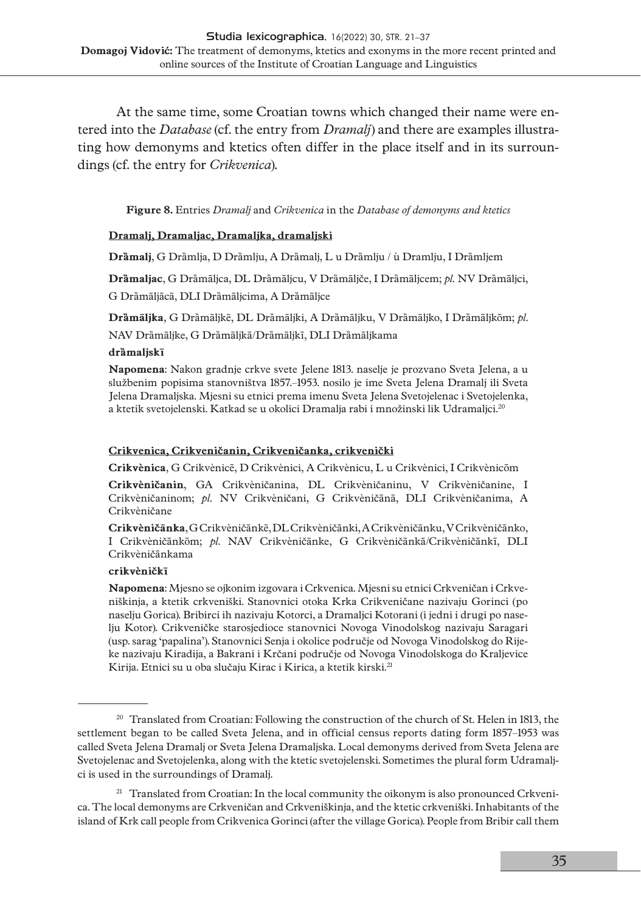At the same time, some Croatian towns which changed their name were entered into the *Database* (cf. the entry from *Dramalj*) and there are examples illustrating how demonyms and ktetics often differ in the place itself and in its surroundings (cf. the entry for *Crikvenica*).

**Figure 8.** Entries *Dramalj* and *Crikvenica* in the *Database of demonyms and ktetics*

### **Dramalj, Dramaljac, Dramaljka, dramaljski**

**Drȁmalj**, G Drȁmlja, D Drȁmlju, A Drȁmalj, L u Drȁmlju / ù Dramlju, I Drȁmljem

**Drȁmaljac**, G Drȁmāljca, DL Drȁmāljcu, V Drȁmāljče, I Drȁmāljcem; *pl.* NV Drȁmāljci, G Drȁmāljācā, DLI Drȁmāljcima, A Drȁmāljce

**Drȁmāljka**, G Drȁmāljkē, DL Drȁmāljki, A Drȁmāljku, V Drȁmāljko, I Drȁmāljkōm; *pl*.

NAV Drȁmāljke, G Drȁmāljkā/Drȁmāljkī, DLI Drȁmāljkama

#### **drȁmaljskī**

**Napomena**: Nakon gradnje crkve svete Jelene 1813. naselje je prozvano Sveta Jelena, a u službenim popisima stanovništva 1857.–1953. nosilo je ime Sveta Jelena Dramalj ili Sveta Jelena Dramaljska. Mjesni su etnici prema imenu Sveta Jelena Svetojelenac i Svetojelenka, a ktetik svetojelenski. Katkad se u okolici Dramalja rabi i množinski lik Udramaljci.20

#### **[Crikvenica, Crikveničanin, Crikveničanka, crikvenički](http://hrvatski.hr/)**

**Crikvènica**, G Crikvènicē, D Crikvènici, A Crikvènicu, L u Crikvènici, I Crikvènicōm

**Crikvèničanin**, GA Crikvèničanina, DL Crikvèničaninu, V Crikvèničanine, I Crikvèničaninom; *pl.* NV Crikvèničani, G Crikvèničānā, DLI Crikvèničanima, A Crikvèničane

**Crikvèničānka**, G Crikvèničānkē, DL Crikvèničānki, A Crikvèničānku, V Crikvèničānko, I Crikvèničānkōm; *pl*. NAV Crikvèničānke, G Crikvèničānkā/Crikvèničānkī, DLI Crikvèničānkama

#### **crikvèničkī**

**Napomena**: Mjesno se ojkonim izgovara i Crkvenica. Mjesni su etnici Crkveničan i Crkveniškinja, a ktetik crkveniški. Stanovnici otoka Krka Crikveničane nazivaju Gorinci (po naselju Gorica). Bribirci ih nazivaju Kotorci, a Dramaljci Kotorani (i jedni i drugi po naselju Kotor). Crikveničke starosjedioce stanovnici Novoga Vinodolskog nazivaju Saragari (usp. sarag 'papalina'). Stanovnici Senja i okolice područje od Novoga Vinodolskog do Rijeke nazivaju Kiradija, a Bakrani i Krčani područje od Novoga Vinodolskoga do Kraljevice Kirija. Etnici su u oba slučaju Kirac i Kirica, a ktetik kirski.<sup>21</sup>

<sup>&</sup>lt;sup>20</sup> Translated from Croatian: Following the construction of the church of St. Helen in 1813, the settlement began to be called Sveta Jelena, and in official census reports dating form 1857–1953 was called Sveta Jelena Dramalj or Sveta Jelena Dramaljska. Local demonyms derived from Sveta Jelena are Svetojelenac and Svetojelenka, along with the ktetic svetojelenski. Sometimes the plural form Udramaljci is used in the surroundings of Dramalj.

<sup>&</sup>lt;sup>21</sup> Translated from Croatian: In the local community the oikonym is also pronounced Crkvenica. The local demonyms are Crkveničan and Crkveniškinja, and the ktetic crkveniški. Inhabitants of the island of Krk call people from Crikvenica Gorinci (after the village Gorica). People from Bribir call them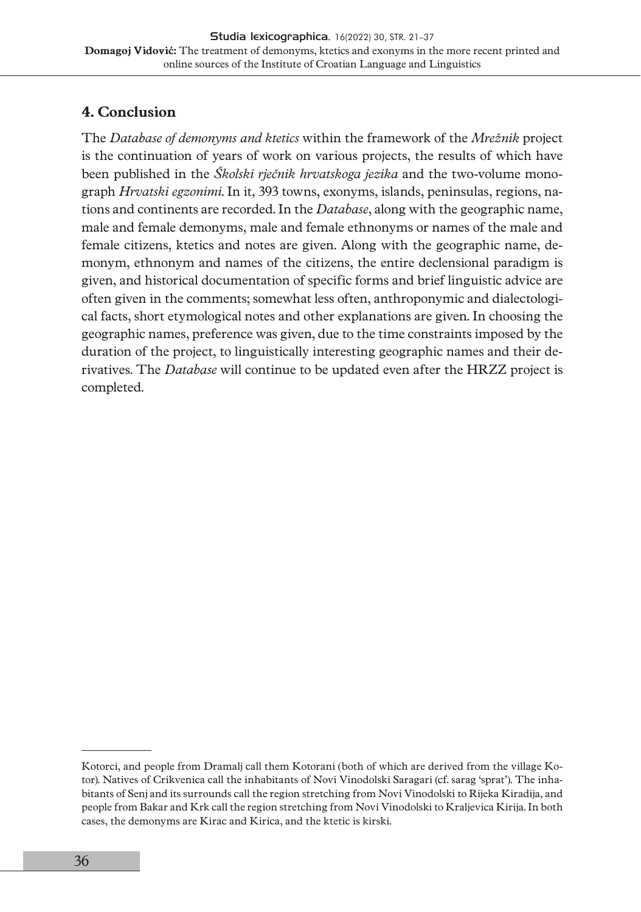## **4. Conclusion**

The *Database of demonyms and ktetics* within the framework of the *Mrežnik* project is the continuation of years of work on various projects, the results of which have been published in the *Školski rječnik hrvatskoga jezika* and the two-volume monograph *Hrvatski egzonimi*. In it, 393 towns, exonyms, islands, peninsulas, regions, nations and continents are recorded. In the *Database*, along with the geographic name, male and female demonyms, male and female ethnonyms or names of the male and female citizens, ktetics and notes are given. Along with the geographic name, demonym, ethnonym and names of the citizens, the entire declensional paradigm is given, and historical documentation of specific forms and brief linguistic advice are often given in the comments; somewhat less often, anthroponymic and dialectological facts, short etymological notes and other explanations are given. In choosing the geographic names, preference was given, due to the time constraints imposed by the duration of the project, to linguistically interesting geographic names and their derivatives. The *Database* will continue to be updated even after the HRZZ project is completed.

Kotorci, and people from Dramalj call them Kotorani (both of which are derived from the village Kotor). Natives of Crikvenica call the inhabitants of Novi Vinodolski Saragari (cf. sarag 'sprat'). The inhabitants of Senj and its surrounds call the region stretching from Novi Vinodolski to Rijeka Kiradija, and people from Bakar and Krk call the region stretching from Novi Vinodolski to Kraljevica Kirija. In both cases, the demonyms are Kirac and Kirica, and the ktetic is kirski.